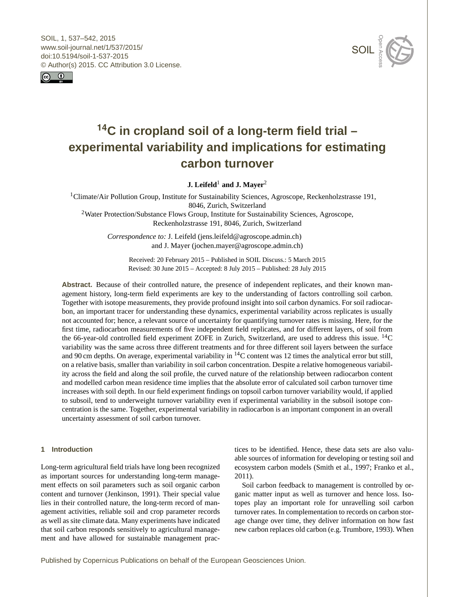<span id="page-0-1"></span>SOIL, 1, 537–542, 2015 www.soil-journal.net/1/537/2015/ doi:10.5194/soil-1-537-2015 © Author(s) 2015. CC Attribution 3.0 License.





# **<sup>14</sup>C in cropland soil of a long-term field trial – experimental variability and implications for estimating carbon turnover**

**J.** Leifeld<sup>[1](#page-0-0)</sup> and **J.** Mayer<sup>[2](#page-0-0)</sup>

<sup>1</sup>Climate/Air Pollution Group, Institute for Sustainability Sciences, Agroscope, Reckenholzstrasse 191, 8046, Zurich, Switzerland <sup>2</sup>Water Protection/Substance Flows Group, Institute for Sustainability Sciences, Agroscope, Reckenholzstrasse 191, 8046, Zurich, Switzerland

> *Correspondence to:* J. Leifeld (jens.leifeld@agroscope.admin.ch) and J. Mayer (jochen.mayer@agroscope.admin.ch)

> > Received: 20 February 2015 – Published in SOIL Discuss.: 5 March 2015 Revised: 30 June 2015 – Accepted: 8 July 2015 – Published: 28 July 2015

**Abstract.** Because of their controlled nature, the presence of independent replicates, and their known management history, long-term field experiments are key to the understanding of factors controlling soil carbon. Together with isotope measurements, they provide profound insight into soil carbon dynamics. For soil radiocarbon, an important tracer for understanding these dynamics, experimental variability across replicates is usually not accounted for; hence, a relevant source of uncertainty for quantifying turnover rates is missing. Here, for the first time, radiocarbon measurements of five independent field replicates, and for different layers, of soil from the 66-year-old controlled field experiment ZOFE in Zurich, Switzerland, are used to address this issue. <sup>14</sup>C variability was the same across three different treatments and for three different soil layers between the surface and 90 cm depths. On average, experimental variability in  $^{14}$ C content was 12 times the analytical error but still, on a relative basis, smaller than variability in soil carbon concentration. Despite a relative homogeneous variability across the field and along the soil profile, the curved nature of the relationship between radiocarbon content and modelled carbon mean residence time implies that the absolute error of calculated soil carbon turnover time increases with soil depth. In our field experiment findings on topsoil carbon turnover variability would, if applied to subsoil, tend to underweight turnover variability even if experimental variability in the subsoil isotope concentration is the same. Together, experimental variability in radiocarbon is an important component in an overall uncertainty assessment of soil carbon turnover.

## <span id="page-0-0"></span>**1 Introduction**

Long-term agricultural field trials have long been recognized as important sources for understanding long-term management effects on soil parameters such as soil organic carbon content and turnover (Jenkinson, 1991). Their special value lies in their controlled nature, the long-term record of management activities, reliable soil and crop parameter records as well as site climate data. Many experiments have indicated that soil carbon responds sensitively to agricultural management and have allowed for sustainable management practices to be identified. Hence, these data sets are also valuable sources of information for developing or testing soil and ecosystem carbon models (Smith et al., 1997; Franko et al., 2011).

Soil carbon feedback to management is controlled by organic matter input as well as turnover and hence loss. Isotopes play an important role for unravelling soil carbon turnover rates. In complementation to records on carbon storage change over time, they deliver information on how fast new carbon replaces old carbon (e.g. Trumbore, 1993). When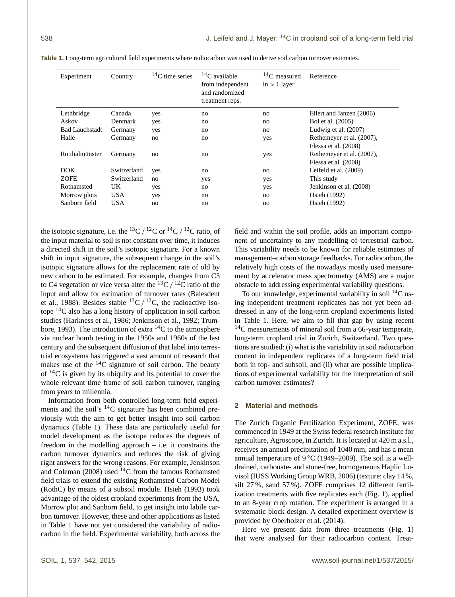| Experiment            | Country     | ${}^{14}C$ time series | $14C$ available<br>from independent<br>and randomized<br>treatment reps. | $14C$ measured<br>$in > 1$ layer | Reference                 |
|-----------------------|-------------|------------------------|--------------------------------------------------------------------------|----------------------------------|---------------------------|
| Lethbridge            | Canada      | yes                    | no                                                                       | no                               | Ellert and Janzen (2006)  |
| Askov                 | Denmark     | yes                    | no                                                                       | no                               | Bol et al. (2005)         |
| <b>Bad Lauchstädt</b> | Germany     | yes                    | no                                                                       | no                               | Ludwig et al. $(2007)$    |
| Halle                 | Germany     | no                     | no                                                                       | yes                              | Rethemeyer et al. (2007), |
|                       |             |                        |                                                                          |                                  | Flessa et al. (2008)      |
| Rotthalmünster        | Germany     | no                     | no                                                                       | yes                              | Rethemeyer et al. (2007), |
|                       |             |                        |                                                                          |                                  | Flessa et al. (2008)      |
| <b>DOK</b>            | Switzerland | yes                    | no                                                                       | no                               | Leifeld et al. (2009)     |
| <b>ZOFE</b>           | Switzerland | no                     | yes                                                                      | yes                              | This study                |
| Rothamsted            | UK          | yes                    | no                                                                       | yes                              | Jenkinson et al. (2008)   |
| Morrow plots          | <b>USA</b>  | yes                    | no                                                                       | no                               | Hsieh (1992)              |
| Sanborn field         | <b>USA</b>  | no                     | no                                                                       | no                               | Hsieh (1992)              |

**Table 1.** Long-term agricultural field experiments where radiocarbon was used to derive soil carbon turnover estimates.

the isotopic signature, i.e. the  ${}^{13}C / {}^{12}C$  or  ${}^{14}C / {}^{12}C$  ratio, of the input material to soil is not constant over time, it induces a directed shift in the soil's isotopic signature. For a known shift in input signature, the subsequent change in the soil's isotopic signature allows for the replacement rate of old by new carbon to be estimated. For example, changes from C3 to C4 vegetation or vice versa alter the  ${}^{13}C / {}^{12}C$  ratio of the input and allow for estimation of turnover rates (Balesdent et al., 1988). Besides stable  ${}^{13}C / {}^{12}C$ , the radioactive isotope <sup>14</sup>C also has a long history of application in soil carbon studies (Harkness et al., 1986; Jenkinson et al., 1992; Trumbore, 1993). The introduction of extra  ${}^{14}C$  to the atmosphere via nuclear bomb testing in the 1950s and 1960s of the last century and the subsequent diffusion of that label into terrestrial ecosystems has triggered a vast amount of research that makes use of the  $^{14}$ C signature of soil carbon. The beauty of  $^{14}$ C is given by its ubiquity and its potential to cover the whole relevant time frame of soil carbon turnover, ranging from years to millennia.

Information from both controlled long-term field experiments and the soil's  $^{14}$ C signature has been combined previously with the aim to get better insight into soil carbon dynamics (Table 1). These data are particularly useful for model development as the isotope reduces the degrees of freedom in the modelling approach – i.e. it constrains the carbon turnover dynamics and reduces the risk of giving right answers for the wrong reasons. For example, Jenkinson and Coleman (2008) used <sup>14</sup>C from the famous Rothamsted field trials to extend the existing Rothamsted Carbon Model (RothC) by means of a subsoil module. Hsieh (1993) took advantage of the oldest cropland experiments from the USA, Morrow plot and Sanborn field, to get insight into labile carbon turnover. However, these and other applications as listed in Table 1 have not yet considered the variability of radiocarbon in the field. Experimental variability, both across the

field and within the soil profile, adds an important component of uncertainty to any modelling of terrestrial carbon. This variability needs to be known for reliable estimates of management–carbon storage feedbacks. For radiocarbon, the relatively high costs of the nowadays mostly used measurement by accelerator mass spectrometry (AMS) are a major obstacle to addressing experimental variability questions.

To our knowledge, experimental variability in soil  ${}^{14}C$  using independent treatment replicates has not yet been addressed in any of the long-term cropland experiments listed in Table 1. Here, we aim to fill that gap by using recent <sup>14</sup>C measurements of mineral soil from a 66-year temperate, long-term cropland trial in Zurich, Switzerland. Two questions are studied: (i) what is the variability in soil radiocarbon content in independent replicates of a long-term field trial both in top- and subsoil, and (ii) what are possible implications of experimental variability for the interpretation of soil carbon turnover estimates?

### **2 Material and methods**

The Zurich Organic Fertilization Experiment, ZOFE, was commenced in 1949 at the Swiss federal research institute for agriculture, Agroscope, in Zurich. It is located at 420 m a.s.l., receives an annual precipitation of 1040 mm, and has a mean annual temperature of 9 °C (1949–2009). The soil is a welldrained, carbonate- and stone-free, homogeneous Haplic Luvisol (IUSS Working Group WRB, 2006) (texture: clay 14 %, silt 27 %, sand 57 %). ZOFE comprises 12 different fertilization treatments with five replicates each (Fig. 1), applied to an 8-year crop rotation. The experiment is arranged in a systematic block design. A detailed experiment overview is provided by Oberholzer et al. (2014).

Here we present data from three treatments (Fig. 1) that were analysed for their radiocarbon content. Treat-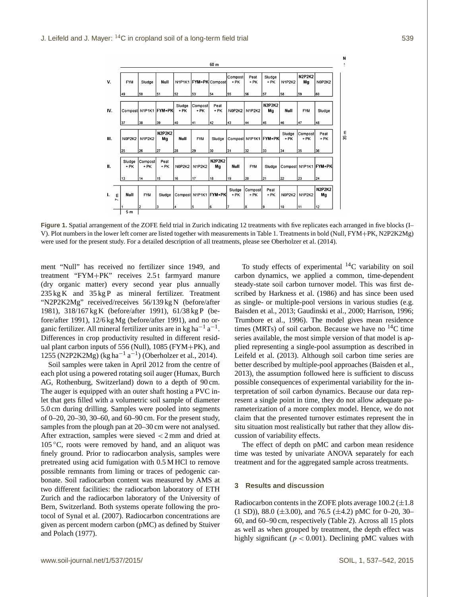|      |                     |                  |                       |                     |                  |                 | 60 <sub>m</sub>           |                  |                       |                     |                  |                     |                     |
|------|---------------------|------------------|-----------------------|---------------------|------------------|-----------------|---------------------------|------------------|-----------------------|---------------------|------------------|---------------------|---------------------|
| v.   |                     | <b>FYM</b>       | Sludge                | Null                |                  |                 | N1P1K1   FYM+PK   Compost | Compost<br>+ PK  | Peat<br>+ PK          | Sludge<br>+ PK      | <b>N1P2K2</b>    | <b>N2P2K2</b><br>Mg | N0P2K2              |
|      |                     | 49               | 50                    | 51                  | 52               | 53              | 54                        | 55               | l56                   | 57                  | 58               | 59                  | 60                  |
| IV.  |                     |                  | Compost N1P1K1 FYM+PK |                     | Sludge<br>$+$ PK | Compost<br>+ PK | Peat<br>+ PK              | N0P2K2           | <b>N1P2K2</b>         | <b>N2P2K2</b><br>Mg | Null             | <b>FYM</b>          | Sludge              |
|      |                     | 37               | 38                    | 39                  | 40               | 41              | 42                        | 43               | 44                    | 45                  | 46               | 47                  | 48                  |
| III. |                     | <b>N0P2K2</b>    | <b>N1P2K2</b>         | <b>N2P2K2</b><br>Mg | Null             | <b>FYM</b>      | Sludge                    |                  | Compost N1P1K1 FYM+PK |                     | Sludge<br>$+$ PK | Compost<br>+ PK     | Peat<br>$+$ PK      |
|      |                     | 25               | 26                    | 27                  | 28               | 29              | 30                        | 31               | 32                    | 33                  | 34               | 35                  | 36                  |
| П.   |                     | Sludge<br>$+$ PK | Compost<br>$+$ PK     | Peat<br>$+$ PK      | N0P2K2           | <b>N1P2K2</b>   | <b>N2P2K2</b><br>Mg       | Null             | <b>FYM</b>            | Sludge              | Compost N1P1K1   |                     | <b>FYM+PK</b>       |
|      |                     | 13               | 14                    | 15                  | 16               | 17              | 18                        | 19               | 120                   | 21                  | 22               | 23                  | 24                  |
| L.   | ε<br>$\overline{ }$ | Null             | <b>FYM</b>            | Sludge              | Compost N1P1K1   |                 | <b>IFYM+PK</b>            | Sludge<br>$+$ PK | Compost<br>+ PK       | Peat<br>$+$ PK      | N0P2K2           | <b>N1P2K2</b>       | <b>N2P2K2</b><br>Mg |
|      |                     |                  | 2                     | 3                   |                  | ls.             | l6                        | 17               | l8                    | 9                   | 10               | 11                  | 12                  |
|      |                     | 5 m              |                       |                     |                  |                 |                           |                  |                       |                     |                  |                     |                     |

Figure 1. Spatial arrangement of the ZOFE field trial in Zurich indicating 12 treatments with five replicates each arranged in five blocks (I-V). Plot numbers in the lower left corner are listed together with measurements in Table 1. Treatments in bold (Null, FYM+PK, N2P2K2Mg) were used for the present study. For a detailed description of all treatments, please see Oberholzer et al. (2014).

ment "Null" has received no fertilizer since 1949, and treatment "FYM+PK" receives 2.5 t farmyard manure (dry organic matter) every second year plus annually 235 kg K and 35 kg P as mineral fertilizer. Treatment "N2P2K2Mg" received/receives 56/139 kg N (before/after 1981), 318/167 kg K (before/after 1991), 61/38 kg P (before/after 1991), 12/6 kg Mg (before/after 1991), and no organic fertilizer. All mineral fertilizer units are in kg ha<sup>-1</sup> a<sup>-1</sup>. Differences in crop productivity resulted in different residual plant carbon inputs of 556 (Null), 1085 (FYM+PK), and 1255 (N2P2K2Mg) (kg ha<sup>-1</sup> a<sup>-1</sup>) (Oberholzer et al., 2014).

Soil samples were taken in April 2012 from the centre of each plot using a powered rotating soil auger (Humax, Burch AG, Rothenburg, Switzerland) down to a depth of 90 cm. The auger is equipped with an outer shaft hosting a PVC inlet that gets filled with a volumetric soil sample of diameter 5.0 cm during drilling. Samples were pooled into segments of 0–20, 20–30, 30–60, and 60–90 cm. For the present study, samples from the plough pan at 20–30 cm were not analysed. After extraction, samples were sieved < 2 mm and dried at 105 ◦C, roots were removed by hand, and an aliquot was finely ground. Prior to radiocarbon analysis, samples were pretreated using acid fumigation with 0.5 M HCl to remove possible remnants from liming or traces of pedogenic carbonate. Soil radiocarbon content was measured by AMS at two different facilities: the radiocarbon laboratory of ETH Zurich and the radiocarbon laboratory of the University of Bern, Switzerland. Both systems operate following the protocol of Synal et al. (2007). Radiocarbon concentrations are given as percent modern carbon (pMC) as defined by Stuiver and Polach (1977).

To study effects of experimental  $^{14}$ C variability on soil carbon dynamics, we applied a common, time-dependent steady-state soil carbon turnover model. This was first described by Harkness et al. (1986) and has since been used as single- or multiple-pool versions in various studies (e.g. Baisden et al., 2013; Gaudinski et al., 2000; Harrison, 1996; Trumbore et al., 1996). The model gives mean residence times (MRTs) of soil carbon. Because we have no  $^{14}$ C time series available, the most simple version of that model is applied representing a single-pool assumption as described in Leifeld et al. (2013). Although soil carbon time series are better described by multiple-pool approaches (Baisden et al., 2013), the assumption followed here is sufficient to discuss possible consequences of experimental variability for the interpretation of soil carbon dynamics. Because our data represent a single point in time, they do not allow adequate parameterization of a more complex model. Hence, we do not claim that the presented turnover estimates represent the in situ situation most realistically but rather that they allow discussion of variability effects.

The effect of depth on pMC and carbon mean residence time was tested by univariate ANOVA separately for each treatment and for the aggregated sample across treatments.

#### **3 Results and discussion**

Radiocarbon contents in the ZOFE plots average  $100.2 \ (\pm 1.8)$ (1 SD)), 88.0 ( $\pm$ 3.00), and 76.5 ( $\pm$ 4.2) pMC for 0–20, 30– 60, and 60–90 cm, respectively (Table 2). Across all 15 plots as well as when grouped by treatment, the depth effect was highly significant ( $p < 0.001$ ). Declining pMC values with

 $\mathbf{N}$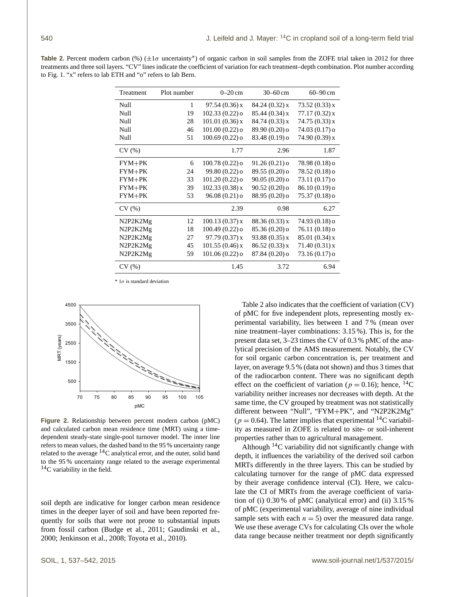Table 2. Percent modern carbon (%) (±1σ uncertainty<sup>\*</sup>) of organic carbon in soil samples from the ZOFE trial taken in 2012 for three treatments and three soil layers. "CV" lines indicate the coefficient of variation for each treatment–depth combination. Plot number according to Fig. 1. "x" refers to lab ETH and "o" refers to lab Bern.

| Treatment | Plot number | $0-20$ cm                   | $30 - 60$ cm               | $60 - 90$ cm    |  |
|-----------|-------------|-----------------------------|----------------------------|-----------------|--|
| Null      | 1           | 97.54(0.36)x                | 84.24(0.32)x               | 73.52(0.33)x    |  |
| Null      | 19          | $102.33(0.22)$ o            | 85.44(0.34)x               | 77.17(0.32)x    |  |
| Null      | 28          | $101.01(0.36)$ x            | 84.74(0.33)x               | 74.75(0.33)x    |  |
| Null      | 46          | $101.00(0.22)$ o            | 89.90 (0.20) o             | $74.03(0.17)$ o |  |
| Null      | 51          | $100.69(0.22)$ o            | 83.48 (0.19) o             | 74.90(0.39)x    |  |
| CV(%)     |             | 1.77                        | 2.96                       | 1.87            |  |
| $FYM+PK$  | 6           | $100.78(0.22)$ o            | $91.26(0.21)$ <sup>o</sup> | 78.98 (0.18) o  |  |
| $FYM+PK$  | 24          | 99.80 (0.22) o              | 89.55 (0.20) o             | 78.52 (0.18) o  |  |
| $FYM+PK$  | 33          | $101.20(0.22)$ o            | $90.05(0.20)$ <sup>o</sup> | 73.11 (0.17) o  |  |
| $FYM+PK$  | 39          | 102.33(0.38)x               | $90.52(0.20)$ o            | 86.10 (0.19) o  |  |
| $FYM+PK$  | 53          | $96.08(0.21)$ o             | 88.95 (0.20) o             | $75.37(0.18)$ o |  |
| CV(%)     |             | 2.39                        | 0.98                       | 6.27            |  |
| N2P2K2Mg  | 12          | 100.13(0.37)x               | 88.36(0.33)x               | $74.93(0.18)$ o |  |
| N2P2K2Mg  | 18          | $100.49(0.22)$ <sup>o</sup> | $85.36(0.20)$ o            | $76.11(0.18)$ o |  |
| N2P2K2Mg  | 27          | 97.79(0.37)x                | 93.88(0.35)x               | $85.01(0.34)$ x |  |
| N2P2K2Mg  | 45          | 101.55(0.46)x               | 86.52(0.33)x               | 71.40(0.31)x    |  |
| N2P2K2Mg  | 59          | $101.06(0.22)$ <sup>o</sup> | 87.84 (0.20) o             | 73.16 (0.17) o  |  |
| CV(%)     |             | 1.45                        | 3.72                       | 6.94            |  |

\*  $1\sigma$  is standard deviation



**Figure 2.** Relationship between percent modern carbon (pMC) and calculated carbon mean residence time (MRT) using a timedependent steady-state single-pool turnover model. The inner line refers to mean values, the dashed band to the 95 % uncertainty range related to the average <sup>14</sup>C analytical error, and the outer, solid band to the 95 % uncertainty range related to the average experimental  $14$ C variability in the field.

soil depth are indicative for longer carbon mean residence times in the deeper layer of soil and have been reported frequently for soils that were not prone to substantial inputs from fossil carbon (Budge et al., 2011; Gaudinski et al., 2000; Jenkinson et al., 2008; Toyota et al., 2010).

Table 2 also indicates that the coefficient of variation (CV) of pMC for five independent plots, representing mostly experimental variability, lies between 1 and 7 % (mean over nine treatment–layer combinations: 3.15 %). This is, for the present data set, 3–23 times the CV of 0.3 % pMC of the analytical precision of the AMS measurement. Notably, the CV for soil organic carbon concentration is, per treatment and layer, on average 9.5 % (data not shown) and thus 3 times that of the radiocarbon content. There was no significant depth effect on the coefficient of variation ( $p = 0.16$ ); hence, <sup>14</sup>C variability neither increases nor decreases with depth. At the same time, the CV grouped by treatment was not statistically different between "Null", "FYM+PK", and "N2P2K2Mg"  $(p = 0.64)$ . The latter implies that experimental <sup>14</sup>C variability as measured in ZOFE is related to site- or soil-inherent properties rather than to agricultural management.

Although  $^{14}$ C variability did not significantly change with depth, it influences the variability of the derived soil carbon MRTs differently in the three layers. This can be studied by calculating turnover for the range of pMC data expressed by their average confidence interval (CI). Here, we calculate the CI of MRTs from the average coefficient of variation of (i) 0.30 % of pMC (analytical error) and (ii) 3.15 % of pMC (experimental variability, average of nine individual sample sets with each  $n = 5$ ) over the measured data range. We use these average CVs for calculating CIs over the whole data range because neither treatment nor depth significantly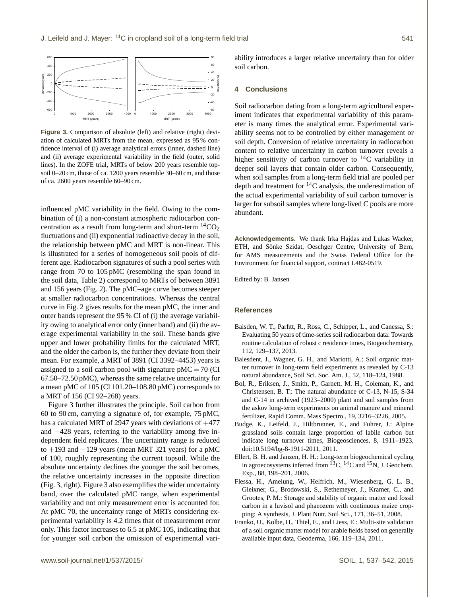

Figure 3. Comparison of absolute (left) and relative (right) deviation of calculated MRTs from the mean, expressed as 95 % confidence interval of (i) average analytical errors (inner, dashed line) and (ii) average experimental variability in the field (outer, solid lines). In the ZOFE trial, MRTs of below 200 years resemble topsoil 0–20 cm, those of ca. 1200 years resemble 30–60 cm, and those of ca. 2600 years resemble 60–90 cm.

influenced pMC variability in the field. Owing to the combination of (i) a non-constant atmospheric radiocarbon concentration as a result from long-term and short-term  ${}^{14}CO_2$ fluctuations and (ii) exponential radioactive decay in the soil, the relationship between pMC and MRT is non-linear. This is illustrated for a series of homogeneous soil pools of different age. Radiocarbon signatures of such a pool series with range from 70 to 105 pMC (resembling the span found in the soil data, Table 2) correspond to MRTs of between 3891 and 156 years (Fig. 2). The pMC–age curve becomes steeper at smaller radiocarbon concentrations. Whereas the central curve in Fig. 2 gives results for the mean pMC, the inner and outer bands represent the 95 % CI of (i) the average variability owing to analytical error only (inner band) and (ii) the average experimental variability in the soil. These bands give upper and lower probability limits for the calculated MRT, and the older the carbon is, the further they deviate from their mean. For example, a MRT of 3891 (CI 3392–4453) years is assigned to a soil carbon pool with signature  $pMC = 70$  (CI 67.50–72.50 pMC), whereas the same relative uncertainty for a mean pMC of 105 (Cl 101.20–108.80 pMC) corresponds to a MRT of 156 (CI 92–268) years.

Figure 3 further illustrates the principle. Soil carbon from 60 to 90 cm, carrying a signature of, for example, 75 pMC, has a calculated MRT of 2947 years with deviations of  $+477$ and −428 years, referring to the variability among five independent field replicates. The uncertainty range is reduced to  $+193$  and  $-129$  years (mean MRT 321 years) for a pMC of 100, roughly representing the current topsoil. While the absolute uncertainty declines the younger the soil becomes, the relative uncertainty increases in the opposite direction (Fig. 3, right). Figure 3 also exemplifies the wider uncertainty band, over the calculated pMC range, when experimental variability and not only measurement error is accounted for. At pMC 70, the uncertainty range of MRTs considering experimental variability is 4.2 times that of measurement error only. This factor increases to 6.5 at pMC 105, indicating that for younger soil carbon the omission of experimental variability introduces a larger relative uncertainty than for older soil carbon.

#### **4 Conclusions**

Soil radiocarbon dating from a long-term agricultural experiment indicates that experimental variability of this parameter is many times the analytical error. Experimental variability seems not to be controlled by either management or soil depth. Conversion of relative uncertainty in radiocarbon content to relative uncertainty in carbon turnover reveals a higher sensitivity of carbon turnover to  $^{14}$ C variability in deeper soil layers that contain older carbon. Consequently, when soil samples from a long-term field trial are pooled per depth and treatment for  ${}^{14}C$  analysis, the underestimation of the actual experimental variability of soil carbon turnover is larger for subsoil samples where long-lived C pools are more abundant.

**Acknowledgements.** We thank Irka Hajdas and Lukas Wacker, ETH, and Sönke Szidat, Oeschger Centre, University of Bern, for AMS measurements and the Swiss Federal Office for the Environment for financial support, contract L482-0519.

Edited by: B. Jansen

#### **References**

- Baisden, W. T., Parfitt, R., Ross, C., Schipper, L., and Canessa, S.: Evaluating 50 years of time-series soil radiocarbon data: Towards routine calculation of robust c residence times, Biogeochemistry, 112, 129–137, 2013.
- Balesdent, J., Wagner, G. H., and Mariotti, A.: Soil organic matter turnover in long-term field experiments as revealed by C-13 natural abundance, Soil Sci. Soc. Am. J., 52, 118–124, 1988.
- Bol, R., Eriksen, J., Smith, P., Garnett, M. H., Coleman, K., and Christensen, B. T.: The natural abundance of C-13, N-15, S-34 and C-14 in archived (1923–2000) plant and soil samples from the askov long-term experiments on animal manure and mineral fertilizer, Rapid Comm. Mass Spectro., 19, 3216–3226, 2005.
- Budge, K., Leifeld, J., Hiltbrunner, E., and Fuhrer, J.: Alpine grassland soils contain large proportion of labile carbon but indicate long turnover times, Biogeosciences, 8, 1911–1923, doi[:10.5194/bg-8-1911-2011,](http://dx.doi.org/10.5194/bg-8-1911-2011) 2011.
- Ellert, B. H. and Janzen, H. H.: Long-term biogeochemical cycling in agroecosystems inferred from <sup>13</sup>C, <sup>14</sup>C and <sup>15</sup>N, J. Geochem. Exp., 88, 198–201, 2006.
- Flessa, H., Amelung, W., Helfrich, M., Wiesenberg, G. L. B., Gleixner, G., Brodowski, S., Rethemeyer, J., Kramer, C., and Grootes, P. M.: Storage and stability of organic matter and fossil carbon in a luvisol and phaeozem with continuous maize cropping: A synthesis, J. Plant Nutr. Soil Sci., 171, 36–51, 2008.
- Franko, U., Kolbe, H., Thiel, E., and Liess, E.: Multi-site validation of a soil organic matter model for arable fields based on generally available input data, Geoderma, 166, 119–134, 2011.